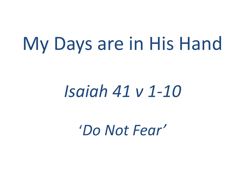## My Days are in His Hand

## *Isaiah 41 v 1-10*

'*Do Not Fear'*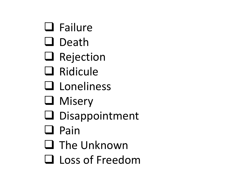- ❑ Failure
- ❑ Death
- ❑ Rejection
- ❑ Ridicule
- ❑ Loneliness
- ❑ Misery
- ❑ Disappointment
- ❑ Pain
- ❑ The Unknown
- ❑ Loss of Freedom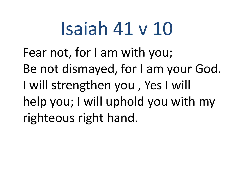## Isaiah 41 v 10

Fear not, for I am with you; Be not dismayed, for I am your God. I will strengthen you , Yes I will help you; I will uphold you with my righteous right hand.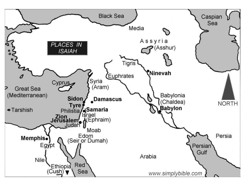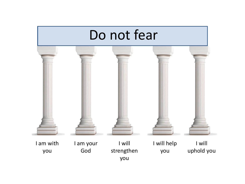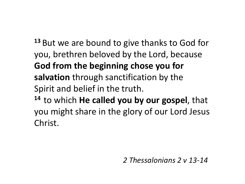**<sup>13</sup>** But we are bound to give thanks to God for you, brethren beloved by the Lord, because **God from the beginning chose you for salvation** through sanctification by the Spirit and belief in the truth. **<sup>14</sup>** to which **He called you by our gospel**, that you might share in the glory of our Lord Jesus Christ.

*2 Thessalonians 2 v 13-14*